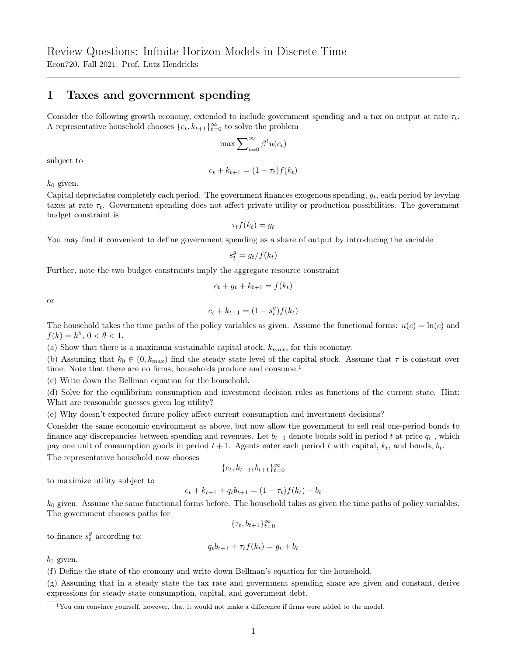## 1 Taxes and government spending

Consider the following growth economy, extended to include government spending and a tax on output at rate  $\tau_t$ . A representative household chooses  ${c_t, k_{t+1}}_{t=0}^{\infty}$  to solve the problem

$$
\max \sum\nolimits_{t=0}^\infty \beta^t u(c_t)
$$

subject to

$$
c_t + k_{t+1} = (1 - \tau_t) f(k_t)
$$

 $k_0$  given.

Capital depreciates completely each period. The government finances exogenous spending,  $g_t$ , each period by levying taxes at rate  $\tau_t$ . Government spending does not affect private utility or production possibilities. The government budget constraint is

$$
\tau_t f(k_t) = g_t
$$

You may find it convenient to define government spending as a share of output by introducing the variable

$$
s_t^g = g_t/f(k_t)
$$

Further, note the two budget constraints imply the aggregate resource constraint

$$
c_t + g_t + k_{t+1} = f(k_t)
$$

or

The household takes the time paths of the policy variables as given. Assume the functional forms:  $u(c) = \ln(c)$  and  $f(k) = k^{\theta}, 0 < \theta < 1.$ 

 $c_t + k_{t+1} = (1 - s_t^g) f(k_t)$ 

(a) Show that there is a maximum sustainable capital stock,  $k_{max}$ , for this economy.

(b) Assuming that  $k_0 \in (0, k_{\text{max}})$  find the steady state level of the capital stock. Assume that  $\tau$  is constant over time. Note that there are no firms; households produce and consume.<sup>1</sup>

(c) Write down the Bellman equation for the household.

(d) Solve for the equilibrium consumption and investment decision rules as functions of the current state. Hint: What are reasonable guesses given log utility?

(e) Why doesn't expected future policy affect current consumption and investment decisions?

Consider the same economic environment as above, but now allow the government to sell real one-period bonds to finance any discrepancies between spending and revenues. Let  $b_{t+1}$  denote bonds sold in period t at price  $q_t$ , which pay one unit of consumption goods in period  $t + 1$ . Agents enter each period t with capital,  $k_t$ , and bonds,  $b_t$ .

The representative household now chooses

$$
\{c_t, k_{t+1}, b_{t+1}\}_{t=0}^{\infty}
$$

to maximize utility subject to

$$
c_t + k_{t+1} + q_t b_{t+1} = (1 - \tau_t) f(k_t) + b_t
$$

 $k_0$  given. Assume the same functional forms before. The household takes as given the time paths of policy variables. The government chooses paths for

$$
\{\tau_t, b_{t+1}\}_{t=0}^\infty
$$

to finance  $s_t^g$  according to:

$$
q_t b_{t+1} + \tau_t f(k_t) = g_t + b_t
$$

 $b_0$  given.

(f) Define the state of the economy and write down Bellman's equation for the household.

(g) Assuming that in a steady state the tax rate and government spending share are given and constant, derive expressions for steady state consumption, capital, and government debt.

<sup>&</sup>lt;sup>1</sup>You can convince yourself, however, that it would not make a difference if firms were added to the model.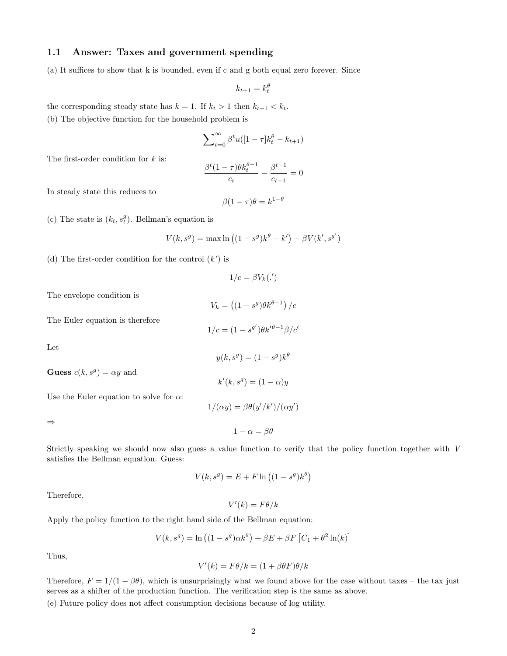## 1.1 Answer: Taxes and government spending

(a) It suffices to show that k is bounded, even if c and g both equal zero forever. Since

$$
k_{t+1} = k_t^{\theta}
$$

the corresponding steady state has  $k = 1$ . If  $k_t > 1$  then  $k_{t+1} < k_t$ . (b) The objective function for the household problem is

$$
\sum_{t=0}^{\infty} \beta^t u([1-\tau]k_t^{\theta} - k_{t+1})
$$

The first-order condition for  $k$  is:

$$
\frac{\beta^{t}(1-\tau)\theta k_{t}^{\theta-1}}{c_{t}} - \frac{\beta^{t-1}}{c_{t-1}} = 0
$$

In steady state this reduces to

$$
\beta(1-\tau)\theta = k^{1-\theta}
$$

(c) The state is  $(k_t, s_t^g)$ . Bellman's equation is

$$
V(k, s^{g}) = \max \ln ((1 - s^{g})k^{\theta} - k') + \beta V(k', s^{g'})
$$

(d) The first-order condition for the control  $(k')$  is

$$
1/c = \beta V_k(.)
$$

The envelope condition is

$$
V_k = \left( (1 - s^g) \theta k^{\theta - 1} \right) / c
$$

The Euler equation is therefore

$$
1/c = (1 - s^{g'}) \theta k'^{\theta - 1} \beta / c'
$$

 $k'(k, s^g) = (1 - \alpha)y$ 

 $1/(\alpha y) = \beta \theta(y'/k')/(\alpha y')$ 

Let

$$
y(k, s^g) = (1 - s^g)k^{\theta}
$$

**Guess**  $c(k, s^g) = \alpha y$  and

Use the Euler equation to solve for  $\alpha$ :

⇒

$$
1 - \alpha = \beta \theta
$$

Strictly speaking we should now also guess a value function to verify that the policy function together with V satisfies the Bellman equation. Guess:

$$
V(k, s^g) = E + F \ln\left((1 - s^g)k^{\theta}\right)
$$

Therefore,

$$
V'(k) = F\theta/k
$$

Apply the policy function to the right hand side of the Bellman equation:

$$
V(k, sg) = \ln ((1 - sg)\alpha kg) + \beta E + \beta F [C1 + \theta2 \ln(k)]
$$

Thus,

$$
V'(k) = F\theta/k = (1 + \beta \theta F)\theta/k
$$

Therefore,  $F = 1/(1 - \beta \theta)$ , which is unsurprisingly what we found above for the case without taxes – the tax just serves as a shifter of the production function. The verification step is the same as above.

(e) Future policy does not affect consumption decisions because of log utility.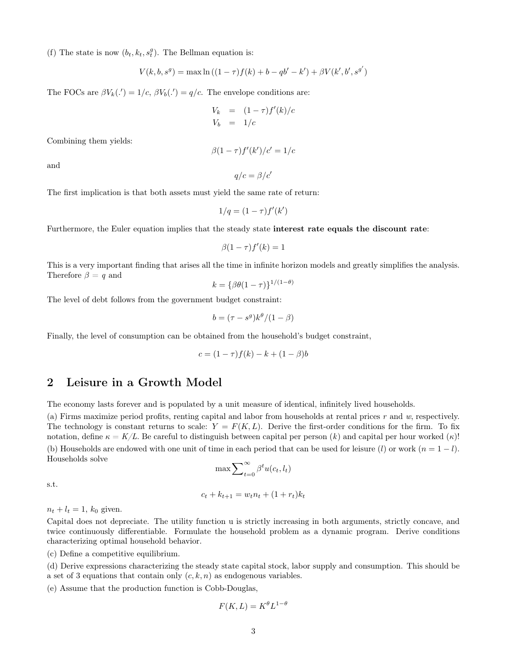(f) The state is now  $(b_t, k_t, s_t^g)$ . The Bellman equation is:

$$
V(k, b, sg) = \max \ln ((1 - \tau)f(k) + b - qb' - k') + \beta V(k', b', s^{g'})
$$

The FOCs are  $\beta V_k(.)' = 1/c$ ,  $\beta V_b(.)' = q/c$ . The envelope conditions are:

$$
V_k = (1 - \tau) f'(k) / c
$$
  

$$
V_b = 1/c
$$

Combining them yields:

$$
\beta(1-\tau)f'(k')/c'=1/c
$$

and

 $q/c = \beta/c'$ 

The first implication is that both assets must yield the same rate of return:

$$
1/q = (1 - \tau)f'(k')
$$

Furthermore, the Euler equation implies that the steady state interest rate equals the discount rate:

$$
\beta(1-\tau)f'(k) = 1
$$

This is a very important finding that arises all the time in infinite horizon models and greatly simplifies the analysis. Therefore  $\beta = q$  and

$$
k = {\beta \theta (1 - \tau)}^{1/(1 - \theta)}
$$

The level of debt follows from the government budget constraint:

$$
b = (\tau - s^g)k^{\theta}/(1 - \beta)
$$

Finally, the level of consumption can be obtained from the household's budget constraint,

$$
c = (1 - \tau)f(k) - k + (1 - \beta)b
$$

## 2 Leisure in a Growth Model

The economy lasts forever and is populated by a unit measure of identical, infinitely lived households.

(a) Firms maximize period profits, renting capital and labor from households at rental prices  $r$  and  $w$ , respectively. The technology is constant returns to scale:  $Y = F(K, L)$ . Derive the first-order conditions for the firm. To fix notation, define  $\kappa = K/L$ . Be careful to distinguish between capital per person  $(k)$  and capital per hour worked  $(\kappa)!$ (b) Households are endowed with one unit of time in each period that can be used for leisure (l) or work  $(n = 1 - l)$ . Households solve

$$
\max \sum\nolimits_{t=0}^\infty \beta^t u(c_t, l_t)
$$

s.t.

$$
c_t + k_{t+1} = w_t n_t + (1 + r_t) k_t
$$

 $n_t + l_t = 1$ ,  $k_0$  given.

Capital does not depreciate. The utility function u is strictly increasing in both arguments, strictly concave, and twice continuously differentiable. Formulate the household problem as a dynamic program. Derive conditions characterizing optimal household behavior.

(c) Define a competitive equilibrium.

(d) Derive expressions characterizing the steady state capital stock, labor supply and consumption. This should be a set of 3 equations that contain only  $(c, k, n)$  as endogenous variables.

(e) Assume that the production function is Cobb-Douglas,

$$
F(K, L) = K^{\theta} L^{1-\theta}
$$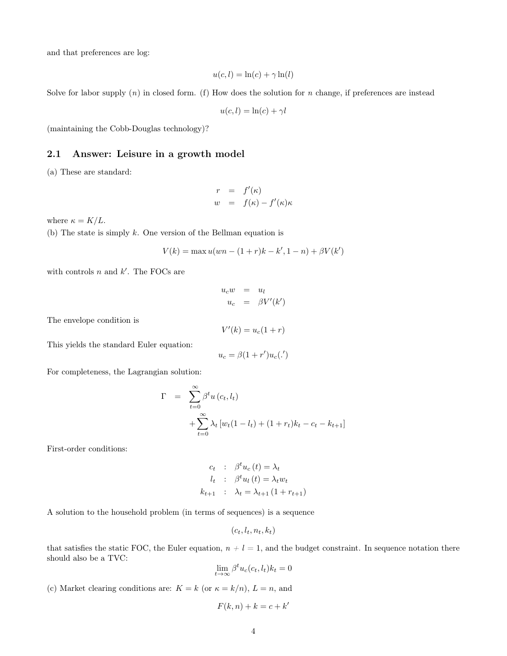and that preferences are log:

$$
u(c, l) = \ln(c) + \gamma \ln(l)
$$

Solve for labor supply  $(n)$  in closed form. (f) How does the solution for n change, if preferences are instead

$$
u(c, l) = \ln(c) + \gamma l
$$

(maintaining the Cobb-Douglas technology)?

### 2.1 Answer: Leisure in a growth model

(a) These are standard:

$$
r = f'(\kappa)
$$
  

$$
w = f(\kappa) - f'(\kappa)\kappa
$$

where  $\kappa = K/L$ .

(b) The state is simply  $k$ . One version of the Bellman equation is

$$
V(k) = \max u(wn - (1+r)k - k', 1-n) + \beta V(k')
$$

with controls  $n$  and  $k'$ . The FOCs are

$$
u_c w = u_l
$$
  

$$
u_c = \beta V'(k')
$$

The envelope condition is

$$
V'(k) = u_c(1+r)
$$

This yields the standard Euler equation:

$$
u_c = \beta(1+r')u_c(
$$

For completeness, the Lagrangian solution:

$$
\Gamma = \sum_{t=0}^{\infty} \beta^t u(c_t, l_t) + \sum_{t=0}^{\infty} \lambda_t [w_t(1 - l_t) + (1 + r_t)k_t - c_t - k_{t+1}]
$$

First-order conditions:

$$
c_t : \beta^t u_c(t) = \lambda_t
$$
  
\n
$$
l_t : \beta^t u_l(t) = \lambda_t w_t
$$
  
\n
$$
k_{t+1} : \lambda_t = \lambda_{t+1} (1 + r_{t+1})
$$

A solution to the household problem (in terms of sequences) is a sequence

$$
(c_t, l_t, n_t, k_t)
$$

that satisfies the static FOC, the Euler equation,  $n + l = 1$ , and the budget constraint. In sequence notation there should also be a TVC:

$$
\lim_{t \to \infty} \beta^t u_c(c_t, l_t) k_t = 0
$$

(c) Market clearing conditions are:  $K = k$  (or  $\kappa = k/n$ ),  $L = n$ , and

$$
F(k, n) + k = c + k'
$$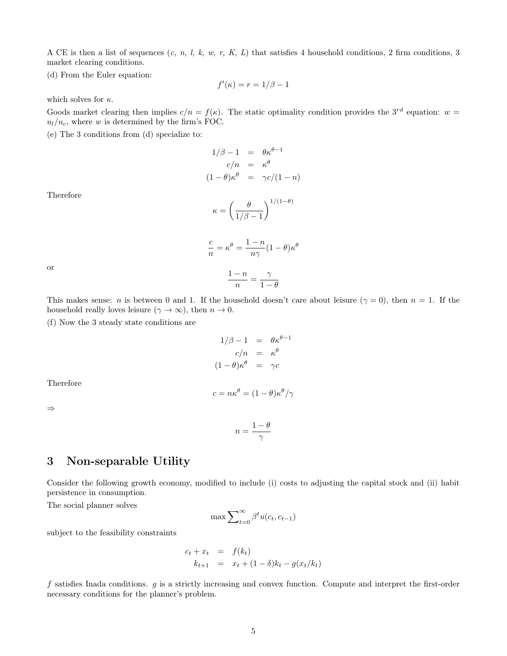A CE is then a list of sequences  $(c, n, l, k, w, r, K, L)$  that satisfies 4 household conditions, 2 firm conditions, 3 market clearing conditions.

(d) From the Euler equation:

$$
f'(\kappa) = r = 1/\beta - 1
$$

which solves for  $\kappa$ .

Goods market clearing then implies  $c/n = f(\kappa)$ . The static optimality condition provides the 3<sup>rd</sup> equation: w =  $u_l/u_c$ , where w is determined by the firm's FOC.

(e) The 3 conditions from (d) specialize to:

$$
1/\beta - 1 = \theta \kappa^{\theta - 1}
$$
  
\n
$$
c/n = \kappa^{\theta}
$$
  
\n
$$
(1 - \theta)\kappa^{\theta} = \gamma c/(1 - n)
$$

Therefore

$$
\kappa = \left(\frac{\theta}{1/\beta - 1}\right)^{1/(1-\theta)}
$$

$$
\frac{c}{n} = \kappa^{\theta} = \frac{1 - n}{n\gamma} (1 - \theta) \kappa^{\theta}
$$

$$
\frac{1 - n}{n} = \frac{\gamma}{1 - \theta}
$$

or

This makes sense: n is between 0 and 1. If the household doesn't care about leisure ( $\gamma = 0$ ), then  $n = 1$ . If the household really loves leisure ( $\gamma \to \infty$ ), then  $n \to 0$ .

 $1 - \theta$ 

(f) Now the 3 steady state conditions are

$$
1/\beta - 1 = \theta \kappa^{\theta - 1}
$$
  

$$
c/n = \kappa^{\theta}
$$
  

$$
(1 - \theta)\kappa^{\theta} = \gamma c
$$

$$
c = n\kappa^{\theta} = (1 - \theta)\kappa^{\theta}/\gamma
$$

⇒

Therefore

$$
n = \frac{1 - \theta}{\gamma}
$$

# 3 Non-separable Utility

Consider the following growth economy, modified to include (i) costs to adjusting the capital stock and (ii) habit persistence in consumption.

The social planner solves

$$
\max \sum\nolimits_{t=0}^\infty \beta^t u(c_t, c_{t-1})
$$

subject to the feasibility constraints

$$
c_t + x_t = f(k_t)
$$
  

$$
k_{t+1} = x_t + (1 - \delta)k_t - g(x_t/k_t)
$$

f satisfies Inada conditions. g is a strictly increasing and convex function. Compute and interpret the first-order necessary conditions for the planner's problem.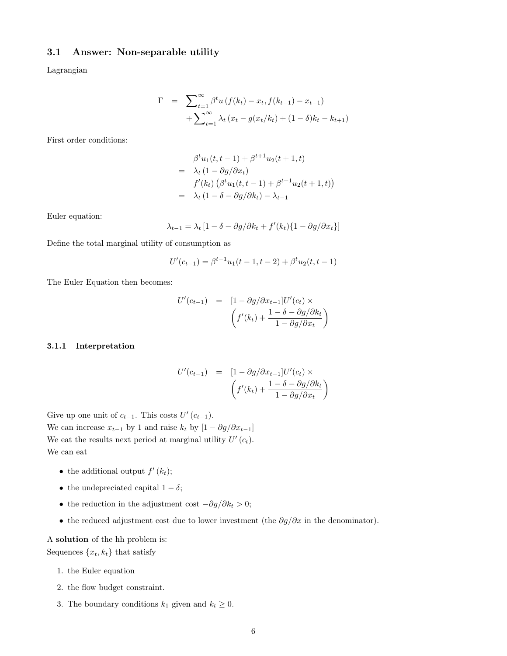### 3.1 Answer: Non-separable utility

Lagrangian

$$
\Gamma = \sum_{t=1}^{\infty} \beta^t u \left( f(k_t) - x_t, f(k_{t-1}) - x_{t-1} \right) + \sum_{t=1}^{\infty} \lambda_t \left( x_t - g(x_t/k_t) + (1 - \delta) k_t - k_{t+1} \right)
$$

First order conditions:

$$
\beta^{t} u_{1}(t, t-1) + \beta^{t+1} u_{2}(t+1, t)
$$
\n
$$
= \lambda_{t} (1 - \partial g/\partial x_{t})
$$
\n
$$
f'(k_{t}) (\beta^{t} u_{1}(t, t-1) + \beta^{t+1} u_{2}(t+1, t))
$$
\n
$$
= \lambda_{t} (1 - \delta - \partial g/\partial k_{t}) - \lambda_{t-1}
$$

Euler equation:

$$
\lambda_{t-1} = \lambda_t \left[ 1 - \delta - \partial g / \partial k_t + f'(k_t) \{ 1 - \partial g / \partial x_t \} \right]
$$

Define the total marginal utility of consumption as

$$
U'(c_{t-1}) = \beta^{t-1}u_1(t-1, t-2) + \beta^t u_2(t, t-1)
$$

The Euler Equation then becomes:

$$
U'(c_{t-1}) = [1 - \partial g/\partial x_{t-1}]U'(c_t) \times \left(f'(k_t) + \frac{1 - \delta - \partial g/\partial k_t}{1 - \partial g/\partial x_t}\right)
$$

### 3.1.1 Interpretation

$$
U'(c_{t-1}) = [1 - \partial g/\partial x_{t-1}]U'(c_t) \times \n\left(f'(k_t) + \frac{1 - \delta - \partial g/\partial k_t}{1 - \partial g/\partial x_t}\right)
$$

Give up one unit of  $c_{t-1}$ . This costs  $U'(c_{t-1})$ . We can increase  $x_{t-1}$  by 1 and raise  $k_t$  by  $\left[1 - \frac{\partial g}{\partial x_{t-1}}\right]$ We eat the results next period at marginal utility  $U'(c_t)$ . We can eat

- the additional output  $f'(k_t)$ ;
- the undepreciated capital  $1 \delta$ ;
- the reduction in the adjustment cost  $-\partial g/\partial k_t > 0$ ;
- the reduced adjustment cost due to lower investment (the  $\partial g/\partial x$  in the denominator).

A solution of the hh problem is:

Sequences  $\{x_t, k_t\}$  that satisfy

- 1. the Euler equation
- 2. the flow budget constraint.
- 3. The boundary conditions  $k_1$  given and  $k_t \geq 0$ .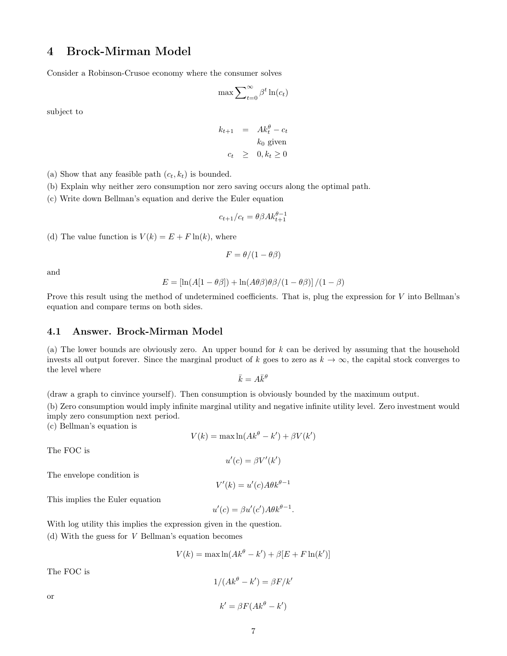# 4 Brock-Mirman Model

Consider a Robinson-Crusoe economy where the consumer solves

$$
\max \sum\nolimits_{t=0}^\infty \beta^t \ln(c_t)
$$

subject to

$$
k_{t+1} = Ak_t^{\theta} - c_t
$$
  
\n
$$
k_0 \text{ given}
$$
  
\n
$$
c_t \geq 0, k_t \geq 0
$$

(a) Show that any feasible path  $(c_t, k_t)$  is bounded.

(b) Explain why neither zero consumption nor zero saving occurs along the optimal path.

(c) Write down Bellman's equation and derive the Euler equation

$$
c_{t+1}/c_t = \theta \beta Ak_{t+1}^{\theta-1}
$$

(d) The value function is  $V(k) = E + F \ln(k)$ , where

$$
F = \theta/(1 - \theta\beta)
$$

and

$$
E = \left[ \ln(A[1 - \theta \beta]) + \ln(A\theta \beta)\theta \beta/(1 - \theta \beta) \right] / (1 - \beta)
$$

Prove this result using the method of undetermined coefficients. That is, plug the expression for V into Bellman's equation and compare terms on both sides.

### 4.1 Answer. Brock-Mirman Model

(a) The lower bounds are obviously zero. An upper bound for  $k$  can be derived by assuming that the household invests all output forever. Since the marginal product of k goes to zero as  $k \to \infty$ , the capital stock converges to the level where

$$
\bar{k} = A\bar{k}^{\theta}
$$

(draw a graph to cinvince yourself). Then consumption is obviously bounded by the maximum output.

(b) Zero consumption would imply infinite marginal utility and negative infinite utility level. Zero investment would imply zero consumption next period.

(c) Bellman's equation is

$$
V(k) = \max \ln(Ak^{\theta} - k') + \beta V(k')
$$

The FOC is

$$
u'(c) = \beta V'(k')
$$

The envelope condition is

$$
V'(k) = u'(c)A\theta k^{\theta - 1}
$$

This implies the Euler equation

$$
u'(c) = \beta u'(c')A\theta k^{\theta - 1}
$$

.

With log utility this implies the expression given in the question.

(d) With the guess for V Bellman's equation becomes

$$
V(k) = \max \ln(Ak^{\theta} - k') + \beta[E + F \ln(k')]
$$

The FOC is

$$
1/(Ak^{\theta} - k') = \beta F/k'
$$

or

$$
k' = \beta F(Ak^{\theta} - k')
$$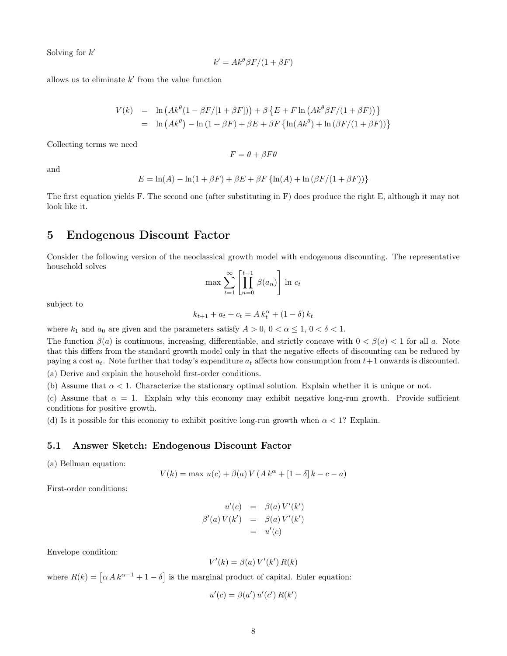Solving for  $k'$ 

$$
k' = Ak^{\theta}\beta F/(1+\beta F)
$$

allows us to eliminate  $k'$  from the value function

$$
V(k) = \ln (Ak^{\theta}(1 - \beta F/[1 + \beta F])) + \beta \{E + F \ln (Ak^{\theta}\beta F/(1 + \beta F))\}
$$
  
= 
$$
\ln (Ak^{\theta}) - \ln (1 + \beta F) + \beta E + \beta F \{\ln(Ak^{\theta}) + \ln(\beta F/(1 + \beta F))\}
$$

Collecting terms we need

$$
F = \theta + \beta F \theta
$$

and

$$
E = \ln(A) - \ln(1 + \beta F) + \beta E + \beta F \{\ln(A) + \ln(\beta F/(1 + \beta F))\}
$$

The first equation yields F. The second one (after substituting in F) does produce the right E, although it may not look like it.

## 5 Endogenous Discount Factor

Consider the following version of the neoclassical growth model with endogenous discounting. The representative household solves

$$
\max \sum_{t=1}^{\infty} \left[ \prod_{n=0}^{t-1} \beta(a_n) \right] \ln c_t
$$

subject to

$$
k_{t+1} + a_t + c_t = A k_t^{\alpha} + (1 - \delta) k_t
$$

where  $k_1$  and  $a_0$  are given and the parameters satisfy  $A > 0, 0 < \alpha \leq 1, 0 < \delta < 1$ .

The function  $\beta(a)$  is continuous, increasing, differentiable, and strictly concave with  $0 < \beta(a) < 1$  for all a. Note that this differs from the standard growth model only in that the negative effects of discounting can be reduced by paying a cost  $a_t$ . Note further that today's expenditure  $a_t$  affects how consumption from  $t+1$  onwards is discounted.

(a) Derive and explain the household first-order conditions.

(b) Assume that  $\alpha < 1$ . Characterize the stationary optimal solution. Explain whether it is unique or not.

(c) Assume that  $\alpha = 1$ . Explain why this economy may exhibit negative long-run growth. Provide sufficient conditions for positive growth.

(d) Is it possible for this economy to exhibit positive long-run growth when  $\alpha < 1$ ? Explain.

### 5.1 Answer Sketch: Endogenous Discount Factor

(a) Bellman equation:

$$
V(k) = \max u(c) + \beta(a) V(A k^{\alpha} + [1 - \delta] k - c - a)
$$

First-order conditions:

$$
u'(c) = \beta(a) V'(k')
$$
  

$$
\beta'(a) V(k') = \beta(a) V'(k')
$$
  

$$
= u'(c)
$$

Envelope condition:

$$
V'(k) = \beta(a) V'(k') R(k)
$$

where  $R(k) = [\alpha A k^{\alpha-1} + 1 - \delta]$  is the marginal product of capital. Euler equation:

$$
u'(c) = \beta(a') u'(c') R(k')
$$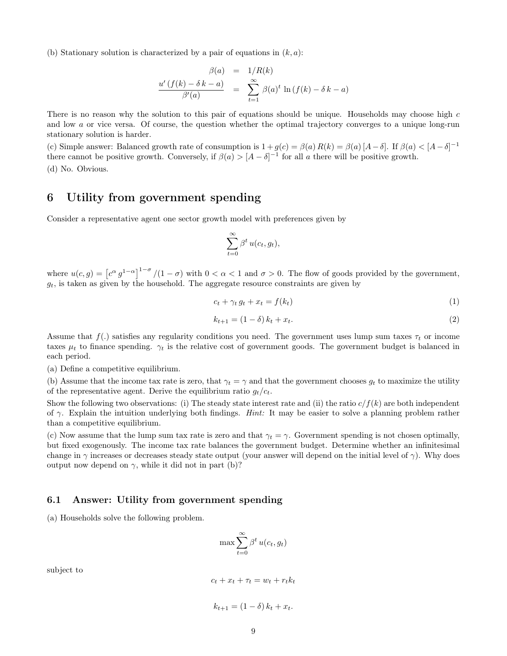(b) Stationary solution is characterized by a pair of equations in  $(k, a)$ :

$$
\beta(a) = 1/R(k)
$$
  

$$
\frac{u'(f(k) - \delta k - a)}{\beta'(a)} = \sum_{t=1}^{\infty} \beta(a)^t \ln(f(k) - \delta k - a)
$$

There is no reason why the solution to this pair of equations should be unique. Households may choose high c and low a or vice versa. Of course, the question whether the optimal trajectory converges to a unique long-run stationary solution is harder.

(c) Simple answer: Balanced growth rate of consumption is  $1 + g(c) = \beta(a) R(k) = \beta(a) [A - \delta]$ . If  $\beta(a) < [A - \delta]^{-1}$ there cannot be positive growth. Conversely, if  $\beta(a) > [A - \delta]^{-1}$  for all a there will be positive growth.

(d) No. Obvious.

## 6 Utility from government spending

Consider a representative agent one sector growth model with preferences given by

$$
\sum_{t=0}^{\infty} \beta^t u(c_t, g_t),
$$

where  $u(c, g) = [c^{\alpha} g^{1-\alpha}]^{1-\sigma}$  /(1 –  $\sigma$ ) with  $0 < \alpha < 1$  and  $\sigma > 0$ . The flow of goods provided by the government,  $g_t$ , is taken as given by the household. The aggregate resource constraints are given by

$$
c_t + \gamma_t g_t + x_t = f(k_t) \tag{1}
$$

$$
k_{t+1} = (1 - \delta) k_t + x_t.
$$
\n(2)

Assume that  $f(.)$  satisfies any regularity conditions you need. The government uses lump sum taxes  $\tau_t$  or income taxes  $\mu_t$  to finance spending.  $\gamma_t$  is the relative cost of government goods. The government budget is balanced in each period.

(a) Define a competitive equilibrium.

(b) Assume that the income tax rate is zero, that  $\gamma_t = \gamma$  and that the government chooses  $g_t$  to maximize the utility of the representative agent. Derive the equilibrium ratio  $g_t/c_t$ .

Show the following two observations: (i) The steady state interest rate and (ii) the ratio  $c/f(k)$  are both independent of  $\gamma$ . Explain the intuition underlying both findings. Hint: It may be easier to solve a planning problem rather than a competitive equilibrium.

(c) Now assume that the lump sum tax rate is zero and that  $\gamma_t = \gamma$ . Government spending is not chosen optimally, but fixed exogenously. The income tax rate balances the government budget. Determine whether an infinitesimal change in  $\gamma$  increases or decreases steady state output (your answer will depend on the initial level of  $\gamma$ ). Why does output now depend on  $\gamma$ , while it did not in part (b)?

### 6.1 Answer: Utility from government spending

(a) Households solve the following problem.

$$
\max \sum_{t=0}^{\infty} \beta^t u(c_t, g_t)
$$

subject to

 $c_t + x_t + \tau_t = w_t + r_t k_t$ 

$$
k_{t+1} = (1 - \delta) k_t + x_t.
$$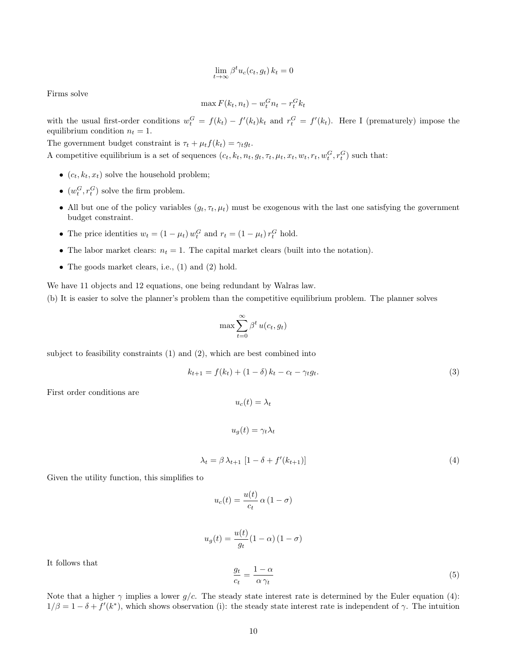$$
\lim_{t \to \infty} \beta^t u_c(c_t, g_t) \, k_t = 0
$$

Firms solve

$$
\max F(k_t, n_t) - w_t^G n_t - r_t^G k_t
$$

with the usual first-order conditions  $w_t^G = f(k_t) - f'(k_t)k_t$  and  $r_t^G = f'(k_t)$ . Here I (prematurely) impose the equilibrium condition  $n_t = 1$ .

The government budget constraint is 
$$
\tau_t + \mu_t f(k_t) = \gamma_t g_t
$$
.

A competitive equilibrium is a set of sequences  $(c_t, k_t, n_t, g_t, \tau_t, \mu_t, x_t, w_t, r_t, w_t^G, r_t^G)$  such that:

- $(c_t, k_t, x_t)$  solve the household problem;
- $(w_t^G, r_t^G)$  solve the firm problem.
- All but one of the policy variables  $(g_t, \tau_t, \mu_t)$  must be exogenous with the last one satisfying the government budget constraint.
- The price identities  $w_t = (1 \mu_t) w_t^G$  and  $r_t = (1 \mu_t) r_t^G$  hold.
- The labor market clears:  $n_t = 1$ . The capital market clears (built into the notation).
- The goods market clears, i.e., (1) and (2) hold.

We have 11 objects and 12 equations, one being redundant by Walras law.

(b) It is easier to solve the planner's problem than the competitive equilibrium problem. The planner solves

$$
\max \sum_{t=0}^{\infty} \beta^t \, u(c_t, g_t)
$$

subject to feasibility constraints (1) and (2), which are best combined into

$$
k_{t+1} = f(k_t) + (1 - \delta) k_t - c_t - \gamma_t g_t.
$$
\n(3)

First order conditions are

$$
u_c(t)=\lambda_t
$$

$$
u_g(t) = \gamma_t \lambda_t
$$

$$
\lambda_t = \beta \lambda_{t+1} \left[ 1 - \delta + f'(k_{t+1}) \right] \tag{4}
$$

Given the utility function, this simplifies to

$$
u_c(t) = \frac{u(t)}{c_t} \alpha (1 - \sigma)
$$

$$
u_g(t) = \frac{u(t)}{g_t}(1-\alpha)(1-\sigma)
$$

It follows that

$$
\frac{g_t}{c_t} = \frac{1 - \alpha}{\alpha \gamma_t} \tag{5}
$$

Note that a higher  $\gamma$  implies a lower  $g/c$ . The steady state interest rate is determined by the Euler equation (4):  $1/\beta = 1 - \delta + f'(k^*)$ , which shows observation (i): the steady state interest rate is independent of  $\gamma$ . The intuition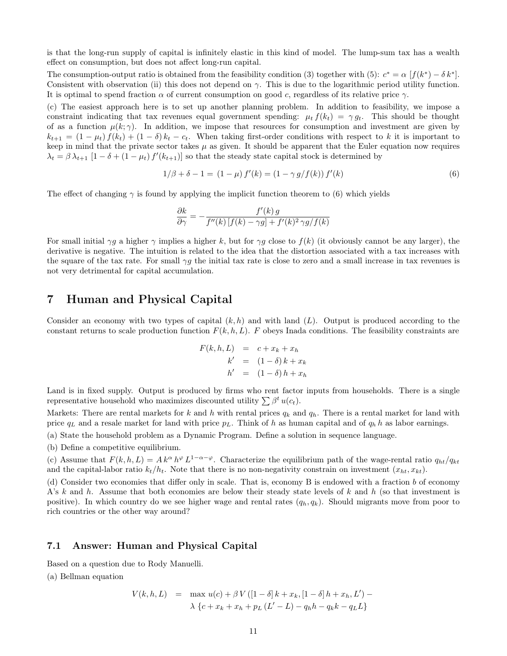is that the long-run supply of capital is infinitely elastic in this kind of model. The lump-sum tax has a wealth effect on consumption, but does not affect long-run capital.

The consumption-output ratio is obtained from the feasibility condition (3) together with (5):  $c^* = \alpha [f(k^*) - \delta k^*].$ Consistent with observation (ii) this does not depend on  $\gamma$ . This is due to the logarithmic period utility function. It is optimal to spend fraction  $\alpha$  of current consumption on good c, regardless of its relative price  $\gamma$ .

(c) The easiest approach here is to set up another planning problem. In addition to feasibility, we impose a constraint indicating that tax revenues equal government spending:  $\mu_t f(k_t) = \gamma g_t$ . This should be thought of as a function  $\mu(k; \gamma)$ . In addition, we impose that resources for consumption and investment are given by  $k_{t+1} = (1 - \mu_t) f(k_t) + (1 - \delta) k_t - c_t$ . When taking first-order conditions with respect to k it is important to keep in mind that the private sector takes  $\mu$  as given. It should be apparent that the Euler equation now requires  $\lambda_t = \beta \lambda_{t+1} [1 - \delta + (1 - \mu_t) f'(k_{t+1})]$  so that the steady state capital stock is determined by

$$
1/\beta + \delta - 1 = (1 - \mu) f'(k) = (1 - \gamma g/f(k)) f'(k)
$$
\n(6)

The effect of changing  $\gamma$  is found by applying the implicit function theorem to (6) which yields

$$
\frac{\partial k}{\partial \gamma}=-\frac{f'(k)\,g}{f''(k)\,[f(k)-\gamma g]+f'(k)^2\,\gamma g/f(k)}
$$

For small initial  $\gamma g$  a higher  $\gamma$  implies a higher k, but for  $\gamma g$  close to  $f(k)$  (it obviously cannot be any larger), the derivative is negative. The intuition is related to the idea that the distortion associated with a tax increases with the square of the tax rate. For small  $\gamma g$  the initial tax rate is close to zero and a small increase in tax revenues is not very detrimental for capital accumulation.

## 7 Human and Physical Capital

Consider an economy with two types of capital  $(k, h)$  and with land  $(L)$ . Output is produced according to the constant returns to scale production function  $F(k, h, L)$ . F obeys Inada conditions. The feasibility constraints are

$$
F(k, h, L) = c + x_k + x_h
$$
  
\n
$$
k' = (1 - \delta)k + x_k
$$
  
\n
$$
h' = (1 - \delta)h + x_h
$$

Land is in fixed supply. Output is produced by firms who rent factor inputs from households. There is a single representative household who maximizes discounted utility  $\sum \beta^t u(c_t)$ .

Markets: There are rental markets for k and h with rental prices  $q_k$  and  $q_h$ . There is a rental market for land with price  $q_L$  and a resale market for land with price  $p_L$ . Think of h as human capital and of  $q_h$  h as labor earnings.

(a) State the household problem as a Dynamic Program. Define a solution in sequence language.

(b) Define a competitive equilibrium.

(c) Assume that  $F(k, h, L) = Ak^{\alpha} h^{\varphi} L^{1-\alpha-\varphi}$ . Characterize the equilibrium path of the wage-rental ratio  $q_{ht}/q_{kt}$ and the capital-labor ratio  $k_t/h_t$ . Note that there is no non-negativity constrain on investment  $(x_{ht}, x_{kt})$ .

(d) Consider two economies that differ only in scale. That is, economy B is endowed with a fraction b of economy A's k and h. Assume that both economies are below their steady state levels of k and h (so that investment is positive). In which country do we see higher wage and rental rates  $(q_h, q_k)$ . Should migrants move from poor to rich countries or the other way around?

### 7.1 Answer: Human and Physical Capital

Based on a question due to Rody Manuelli.

(a) Bellman equation

$$
V(k, h, L) = \max u(c) + \beta V ([1 - \delta] k + x_k, [1 - \delta] h + x_h, L') -
$$
  

$$
\lambda \{c + x_k + x_h + p_L (L' - L) - q_h h - q_k k - q_L L\}
$$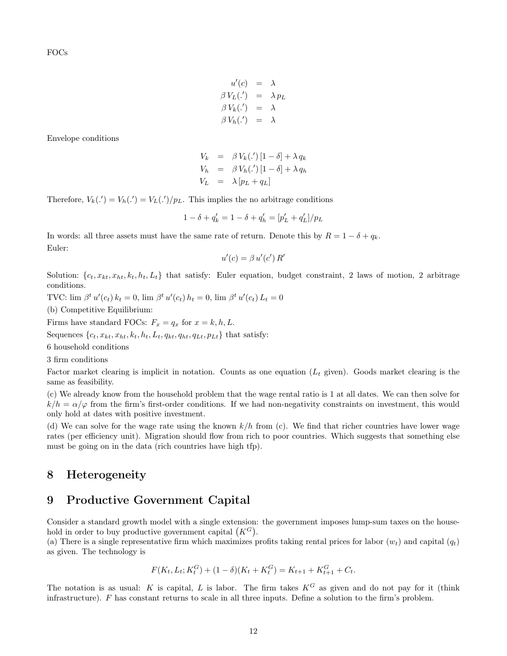$$
u'(c) = \lambda
$$
  
\n
$$
\beta V_L(.)' = \lambda p_L
$$
  
\n
$$
\beta V_k(.)' = \lambda
$$
  
\n
$$
\beta V_h(.)' = \lambda
$$

Envelope conditions

$$
V_k = \beta V_k(.') [1 - \delta] + \lambda q_k
$$
  
\n
$$
V_h = \beta V_h(.') [1 - \delta] + \lambda q_h
$$
  
\n
$$
V_L = \lambda [p_L + q_L]
$$

Therefore,  $V_k(.)' = V_h(.)' = V_L(.)/p_L$ . This implies the no arbitrage conditions

$$
1 - \delta + q'_{k} = 1 - \delta + q'_{h} = [p'_{L} + q'_{L}]/p_{L}
$$

In words: all three assets must have the same rate of return. Denote this by  $R = 1 - \delta + q_k$ . Euler:

$$
u'(c) = \beta u'(c') R'
$$

Solution:  $\{c_t, x_{kt}, x_{ht}, k_t, h_t, L_t\}$  that satisfy: Euler equation, budget constraint, 2 laws of motion, 2 arbitrage conditions.

TVC:  $\lim_{t \to \infty} \beta^t u'(c_t) k_t = 0$ ,  $\lim_{t \to \infty} \beta^t u'(c_t) k_t = 0$ ,  $\lim_{t \to \infty} \beta^t u'(c_t) L_t = 0$ 

(b) Competitive Equilibrium:

Firms have standard FOCs:  $F_x = q_x$  for  $x = k, h, L$ .

Sequences  $\{c_t, x_{kt}, x_{ht}, k_t, h_t, L_t, q_{kt}, q_{ht}, q_{Lt}, p_{Lt}\}$  that satisfy:

6 household conditions

3 firm conditions

Factor market clearing is implicit in notation. Counts as one equation  $(L_t \text{ given})$ . Goods market clearing is the same as feasibility.

(c) We already know from the household problem that the wage rental ratio is 1 at all dates. We can then solve for  $k/h = \alpha/\varphi$  from the firm's first-order conditions. If we had non-negativity constraints on investment, this would only hold at dates with positive investment.

(d) We can solve for the wage rate using the known  $k/h$  from (c). We find that richer countries have lower wage rates (per efficiency unit). Migration should flow from rich to poor countries. Which suggests that something else must be going on in the data (rich countries have high tfp).

## 8 Heterogeneity

## 9 Productive Government Capital

Consider a standard growth model with a single extension: the government imposes lump-sum taxes on the household in order to buy productive government capital  $(K^G)$ .

(a) There is a single representative firm which maximizes profits taking rental prices for labor  $(w_t)$  and capital  $(q_t)$ as given. The technology is

$$
F(K_t, L_t; K_t^G) + (1 - \delta)(K_t + K_t^G) = K_{t+1} + K_{t+1}^G + C_t.
$$

The notation is as usual: K is capital, L is labor. The firm takes  $K^G$  as given and do not pay for it (think infrastructure). F has constant returns to scale in all three inputs. Define a solution to the firm's problem.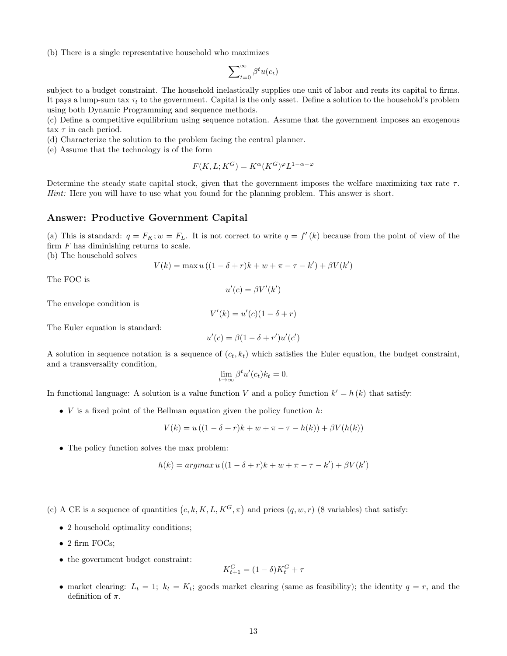(b) There is a single representative household who maximizes

$$
\sum\nolimits_{t=0}^\infty \beta^t u(c_t)
$$

subject to a budget constraint. The household inelastically supplies one unit of labor and rents its capital to firms. It pays a lump-sum tax  $\tau_t$  to the government. Capital is the only asset. Define a solution to the household's problem using both Dynamic Programming and sequence methods.

(c) Define a competitive equilibrium using sequence notation. Assume that the government imposes an exogenous  $\text{tax } \tau$  in each period.

(d) Characterize the solution to the problem facing the central planner.

(e) Assume that the technology is of the form

$$
F(K, L; K^G) = K^{\alpha}(K^G)^{\varphi} L^{1-\alpha-\varphi}
$$

Determine the steady state capital stock, given that the government imposes the welfare maximizing tax rate  $\tau$ . Hint: Here you will have to use what you found for the planning problem. This answer is short.

### Answer: Productive Government Capital

(a) This is standard:  $q = F_K; w = F_L$ . It is not correct to write  $q = f'(k)$  because from the point of view of the firm  $F$  has diminishing returns to scale.

(b) The household solves

$$
V(k) = \max u ((1 - \delta + r)k + w + \pi - \tau - k') + \beta V(k')
$$

The FOC is

$$
u'(c) = \beta V'(k')
$$

The envelope condition is

$$
V'(k) = u'(c)(1 - \delta + r)
$$

The Euler equation is standard:

$$
u'(c) = \beta(1 - \delta + r')u'(c')
$$

A solution in sequence notation is a sequence of  $(c_t, k_t)$  which satisfies the Euler equation, the budget constraint, and a transversality condition,

$$
\lim_{t \to \infty} \beta^t u'(c_t) k_t = 0.
$$

In functional language: A solution is a value function V and a policy function  $k' = h(k)$  that satisfy:

•  $V$  is a fixed point of the Bellman equation given the policy function  $h$ :

<sup>2</sup>

$$
V(k) = u ((1 - \delta + r)k + w + \pi - \tau - h(k)) + \beta V(h(k))
$$

• The policy function solves the max problem:

$$
h(k) = argmax u ((1 - \delta + r)k + w + \pi - \tau - k') + \beta V(k')
$$

(c) A CE is a sequence of quantities  $(c, k, K, L, K^G, \pi)$  and prices  $(q, w, r)$  (8 variables) that satisfy:

- 2 household optimality conditions;
- 2 firm FOCs;
- the government budget constraint:

$$
K^G_{t+1} = (1-\delta)K^G_t + \tau
$$

• market clearing:  $L_t = 1$ ;  $k_t = K_t$ ; goods market clearing (same as feasibility); the identity  $q = r$ , and the definition of  $\pi$ .